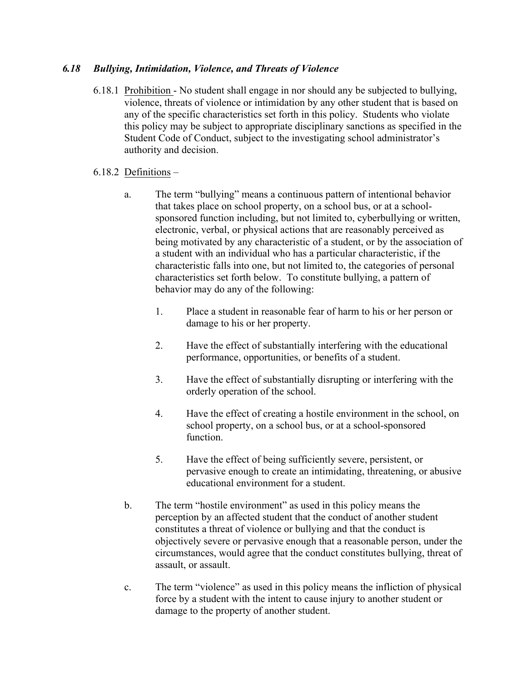## *6.18 Bullying, Intimidation, Violence, and Threats of Violence*

6.18.1 Prohibition - No student shall engage in nor should any be subjected to bullying, violence, threats of violence or intimidation by any other student that is based on any of the specific characteristics set forth in this policy. Students who violate this policy may be subject to appropriate disciplinary sanctions as specified in the Student Code of Conduct, subject to the investigating school administrator's authority and decision.

## 6.18.2 Definitions –

- a. The term "bullying" means a continuous pattern of intentional behavior that takes place on school property, on a school bus, or at a schoolsponsored function including, but not limited to, cyberbullying or written, electronic, verbal, or physical actions that are reasonably perceived as being motivated by any characteristic of a student, or by the association of a student with an individual who has a particular characteristic, if the characteristic falls into one, but not limited to, the categories of personal characteristics set forth below. To constitute bullying, a pattern of behavior may do any of the following:
	- 1. Place a student in reasonable fear of harm to his or her person or damage to his or her property.
	- 2. Have the effect of substantially interfering with the educational performance, opportunities, or benefits of a student.
	- 3. Have the effect of substantially disrupting or interfering with the orderly operation of the school.
	- 4. Have the effect of creating a hostile environment in the school, on school property, on a school bus, or at a school-sponsored function.
	- 5. Have the effect of being sufficiently severe, persistent, or pervasive enough to create an intimidating, threatening, or abusive educational environment for a student.
- b. The term "hostile environment" as used in this policy means the perception by an affected student that the conduct of another student constitutes a threat of violence or bullying and that the conduct is objectively severe or pervasive enough that a reasonable person, under the circumstances, would agree that the conduct constitutes bullying, threat of assault, or assault.
- c. The term "violence" as used in this policy means the infliction of physical force by a student with the intent to cause injury to another student or damage to the property of another student.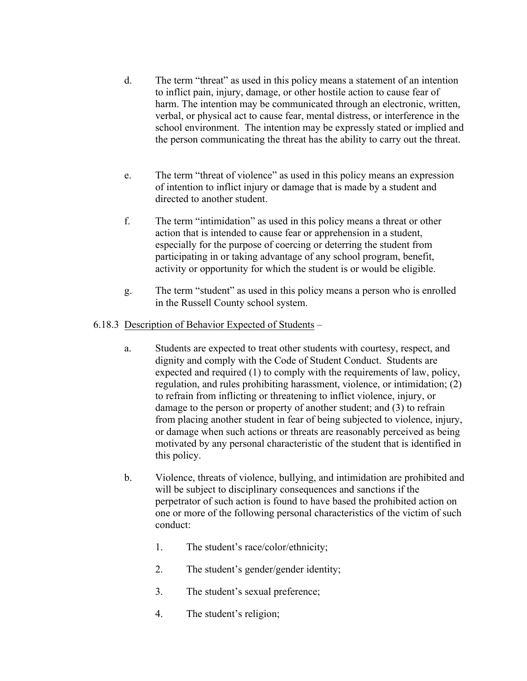- d. The term "threat" as used in this policy means a statement of an intention to inflict pain, injury, damage, or other hostile action to cause fear of harm. The intention may be communicated through an electronic, written, verbal, or physical act to cause fear, mental distress, or interference in the school environment. The intention may be expressly stated or implied and the person communicating the threat has the ability to carry out the threat.
- e. The term "threat of violence" as used in this policy means an expression of intention to inflict injury or damage that is made by a student and directed to another student.
- f. The term "intimidation" as used in this policy means a threat or other action that is intended to cause fear or apprehension in a student, especially for the purpose of coercing or deterring the student from participating in or taking advantage of any school program, benefit, activity or opportunity for which the student is or would be eligible.
- g. The term "student" as used in this policy means a person who is enrolled in the Russell County school system.

## 6.18.3 Description of Behavior Expected of Students –

- a. Students are expected to treat other students with courtesy, respect, and dignity and comply with the Code of Student Conduct. Students are expected and required (1) to comply with the requirements of law, policy, regulation, and rules prohibiting harassment, violence, or intimidation; (2) to refrain from inflicting or threatening to inflict violence, injury, or damage to the person or property of another student; and (3) to refrain from placing another student in fear of being subjected to violence, injury, or damage when such actions or threats are reasonably perceived as being motivated by any personal characteristic of the student that is identified in this policy.
- b. Violence, threats of violence, bullying, and intimidation are prohibited and will be subject to disciplinary consequences and sanctions if the perpetrator of such action is found to have based the prohibited action on one or more of the following personal characteristics of the victim of such conduct:
	- 1. The student's race/color/ethnicity;
	- 2. The student's gender/gender identity;
	- 3. The student's sexual preference;
	- 4. The student's religion;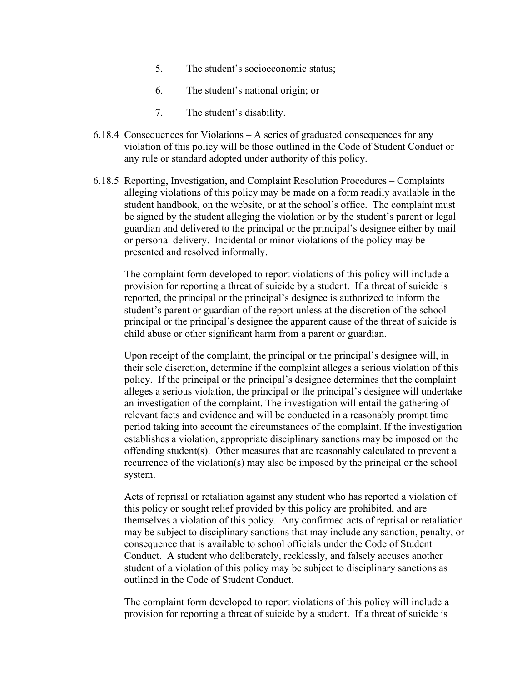- 5. The student's socioeconomic status;
- 6. The student's national origin; or
- 7. The student's disability.
- 6.18.4 Consequences for Violations A series of graduated consequences for any violation of this policy will be those outlined in the Code of Student Conduct or any rule or standard adopted under authority of this policy.
- 6.18.5 Reporting, Investigation, and Complaint Resolution Procedures Complaints alleging violations of this policy may be made on a form readily available in the student handbook, on the website, or at the school's office. The complaint must be signed by the student alleging the violation or by the student's parent or legal guardian and delivered to the principal or the principal's designee either by mail or personal delivery. Incidental or minor violations of the policy may be presented and resolved informally.

The complaint form developed to report violations of this policy will include a provision for reporting a threat of suicide by a student. If a threat of suicide is reported, the principal or the principal's designee is authorized to inform the student's parent or guardian of the report unless at the discretion of the school principal or the principal's designee the apparent cause of the threat of suicide is child abuse or other significant harm from a parent or guardian.

Upon receipt of the complaint, the principal or the principal's designee will, in their sole discretion, determine if the complaint alleges a serious violation of this policy. If the principal or the principal's designee determines that the complaint alleges a serious violation, the principal or the principal's designee will undertake an investigation of the complaint. The investigation will entail the gathering of relevant facts and evidence and will be conducted in a reasonably prompt time period taking into account the circumstances of the complaint. If the investigation establishes a violation, appropriate disciplinary sanctions may be imposed on the offending student(s). Other measures that are reasonably calculated to prevent a recurrence of the violation(s) may also be imposed by the principal or the school system.

Acts of reprisal or retaliation against any student who has reported a violation of this policy or sought relief provided by this policy are prohibited, and are themselves a violation of this policy. Any confirmed acts of reprisal or retaliation may be subject to disciplinary sanctions that may include any sanction, penalty, or consequence that is available to school officials under the Code of Student Conduct. A student who deliberately, recklessly, and falsely accuses another student of a violation of this policy may be subject to disciplinary sanctions as outlined in the Code of Student Conduct.

The complaint form developed to report violations of this policy will include a provision for reporting a threat of suicide by a student. If a threat of suicide is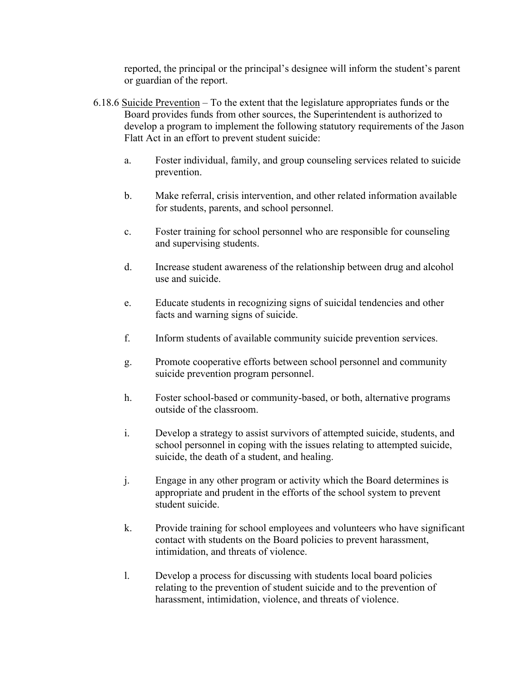reported, the principal or the principal's designee will inform the student's parent or guardian of the report.

- 6.18.6 Suicide Prevention To the extent that the legislature appropriates funds or the Board provides funds from other sources, the Superintendent is authorized to develop a program to implement the following statutory requirements of the Jason Flatt Act in an effort to prevent student suicide:
	- a. Foster individual, family, and group counseling services related to suicide prevention.
	- b. Make referral, crisis intervention, and other related information available for students, parents, and school personnel.
	- c. Foster training for school personnel who are responsible for counseling and supervising students.
	- d. Increase student awareness of the relationship between drug and alcohol use and suicide.
	- e. Educate students in recognizing signs of suicidal tendencies and other facts and warning signs of suicide.
	- f. Inform students of available community suicide prevention services.
	- g. Promote cooperative efforts between school personnel and community suicide prevention program personnel.
	- h. Foster school-based or community-based, or both, alternative programs outside of the classroom.
	- i. Develop a strategy to assist survivors of attempted suicide, students, and school personnel in coping with the issues relating to attempted suicide, suicide, the death of a student, and healing.
	- j. Engage in any other program or activity which the Board determines is appropriate and prudent in the efforts of the school system to prevent student suicide.
	- k. Provide training for school employees and volunteers who have significant contact with students on the Board policies to prevent harassment, intimidation, and threats of violence.
	- l. Develop a process for discussing with students local board policies relating to the prevention of student suicide and to the prevention of harassment, intimidation, violence, and threats of violence.